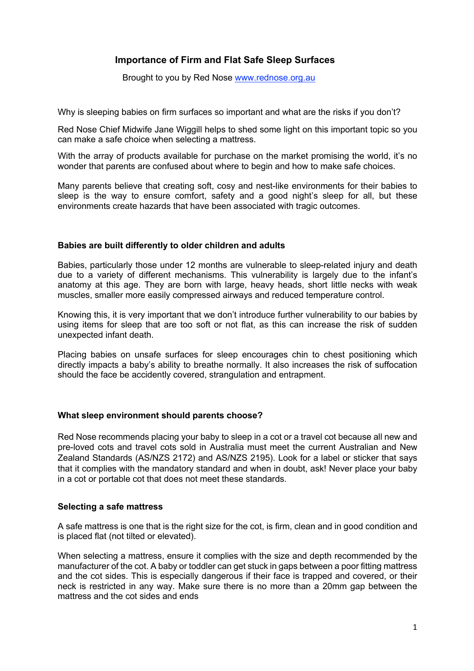## **Importance of Firm and Flat Safe Sleep Surfaces**

Brought to you by Red Nose www.rednose.org.au

Why is sleeping babies on firm surfaces so important and what are the risks if you don't?

Red Nose Chief Midwife Jane Wiggill helps to shed some light on this important topic so you can make a safe choice when selecting a mattress.

With the array of products available for purchase on the market promising the world, it's no wonder that parents are confused about where to begin and how to make safe choices.

Many parents believe that creating soft, cosy and nest-like environments for their babies to sleep is the way to ensure comfort, safety and a good night's sleep for all, but these environments create hazards that have been associated with tragic outcomes.

## **Babies are built differently to older children and adults**

Babies, particularly those under 12 months are vulnerable to sleep-related injury and death due to a variety of different mechanisms. This vulnerability is largely due to the infant's anatomy at this age. They are born with large, heavy heads, short little necks with weak muscles, smaller more easily compressed airways and reduced temperature control.

Knowing this, it is very important that we don't introduce further vulnerability to our babies by using items for sleep that are too soft or not flat, as this can increase the risk of sudden unexpected infant death.

Placing babies on unsafe surfaces for sleep encourages chin to chest positioning which directly impacts a baby's ability to breathe normally. It also increases the risk of suffocation should the face be accidently covered, strangulation and entrapment.

## **What sleep environment should parents choose?**

Red Nose recommends placing your baby to sleep in a cot or a travel cot because all new and pre-loved cots and travel cots sold in Australia must meet the current Australian and New Zealand Standards (AS/NZS 2172) and AS/NZS 2195). Look for a label or sticker that says that it complies with the mandatory standard and when in doubt, ask! Never place your baby in a cot or portable cot that does not meet these standards.

## **Selecting a safe mattress**

A safe mattress is one that is the right size for the cot, is firm, clean and in good condition and is placed flat (not tilted or elevated).

When selecting a mattress, ensure it complies with the size and depth recommended by the manufacturer of the cot. A baby or toddler can get stuck in gaps between a poor fitting mattress and the cot sides. This is especially dangerous if their face is trapped and covered, or their neck is restricted in any way. Make sure there is no more than a 20mm gap between the mattress and the cot sides and ends